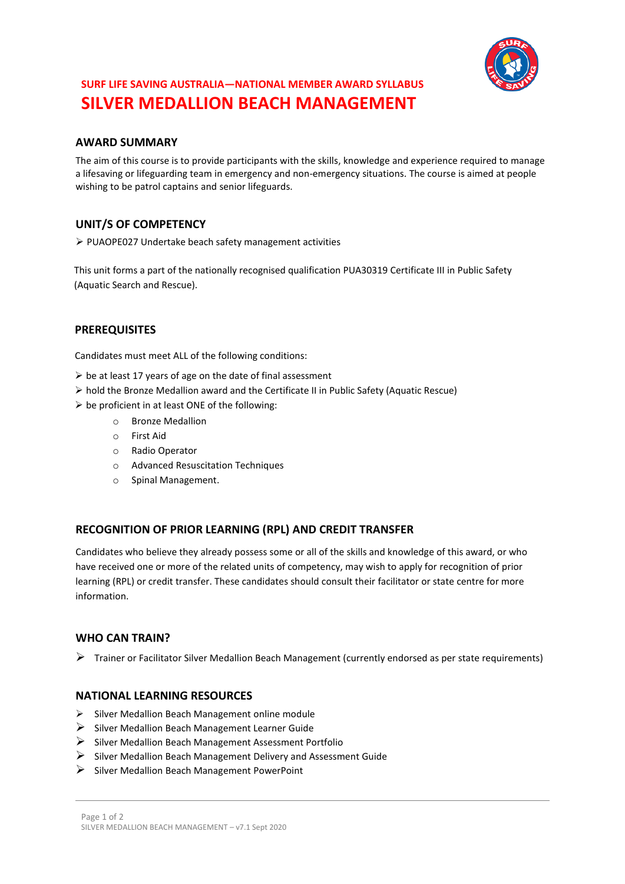

# **SURF LIFE SAVING AUSTRALIA—NATIONAL MEMBER AWARD SYLLABUS SILVER MEDALLION BEACH MANAGEMENT**

## **AWARD SUMMARY**

The aim of this course is to provide participants with the skills, knowledge and experience required to manage a lifesaving or lifeguarding team in emergency and non-emergency situations. The course is aimed at people wishing to be patrol captains and senior lifeguards.

## **UNIT/S OF COMPETENCY**

➢ PUAOPE027 Undertake beach safety management activities

This unit forms a part of the nationally recognised qualification PUA30319 Certificate III in Public Safety (Aquatic Search and Rescue).

## **PREREQUISITES**

Candidates must meet ALL of the following conditions:

- $\triangleright$  be at least 17 years of age on the date of final assessment
- ➢ hold the Bronze Medallion award and the Certificate II in Public Safety (Aquatic Rescue)
- $\triangleright$  be proficient in at least ONE of the following:
	- o Bronze Medallion
	- o First Aid
	- o Radio Operator
	- o Advanced Resuscitation Techniques
	- o Spinal Management.

## **RECOGNITION OF PRIOR LEARNING (RPL) AND CREDIT TRANSFER**

Candidates who believe they already possess some or all of the skills and knowledge of this award, or who have received one or more of the related units of competency, may wish to apply for recognition of prior learning (RPL) or credit transfer. These candidates should consult their facilitator or state centre for more information.

## **WHO CAN TRAIN?**

 $\triangleright$  Trainer or Facilitator Silver Medallion Beach Management (currently endorsed as per state requirements)

#### **NATIONAL LEARNING RESOURCES**

- ➢ Silver Medallion Beach Management online module
- ➢ Silver Medallion Beach Management Learner Guide
- ➢ Silver Medallion Beach Management Assessment Portfolio
- $\triangleright$  Silver Medallion Beach Management Delivery and Assessment Guide
- ➢ Silver Medallion Beach Management PowerPoint